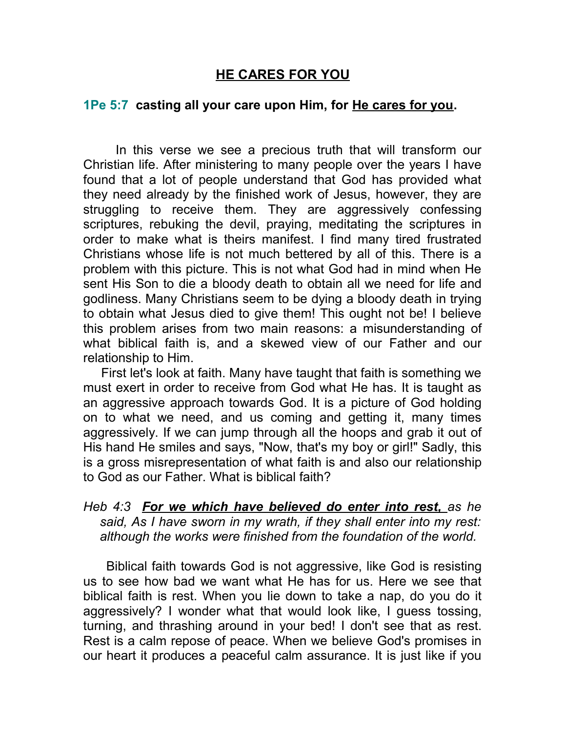## **HE CARES FOR YOU**

## **1Pe 5:7 casting all your care upon Him, for He cares for you.**

 In this verse we see a precious truth that will transform our Christian life. After ministering to many people over the years I have found that a lot of people understand that God has provided what they need already by the finished work of Jesus, however, they are struggling to receive them. They are aggressively confessing scriptures, rebuking the devil, praying, meditating the scriptures in order to make what is theirs manifest. I find many tired frustrated Christians whose life is not much bettered by all of this. There is a problem with this picture. This is not what God had in mind when He sent His Son to die a bloody death to obtain all we need for life and godliness. Many Christians seem to be dying a bloody death in trying to obtain what Jesus died to give them! This ought not be! I believe this problem arises from two main reasons: a misunderstanding of what biblical faith is, and a skewed view of our Father and our relationship to Him.

 First let's look at faith. Many have taught that faith is something we must exert in order to receive from God what He has. It is taught as an aggressive approach towards God. It is a picture of God holding on to what we need, and us coming and getting it, many times aggressively. If we can jump through all the hoops and grab it out of His hand He smiles and says, "Now, that's my boy or girl!" Sadly, this is a gross misrepresentation of what faith is and also our relationship to God as our Father. What is biblical faith?

## *Heb 4:3 For we which have believed do enter into rest, as he said, As I have sworn in my wrath, if they shall enter into my rest: although the works were finished from the foundation of the world.*

 Biblical faith towards God is not aggressive, like God is resisting us to see how bad we want what He has for us. Here we see that biblical faith is rest. When you lie down to take a nap, do you do it aggressively? I wonder what that would look like, I guess tossing, turning, and thrashing around in your bed! I don't see that as rest. Rest is a calm repose of peace. When we believe God's promises in our heart it produces a peaceful calm assurance. It is just like if you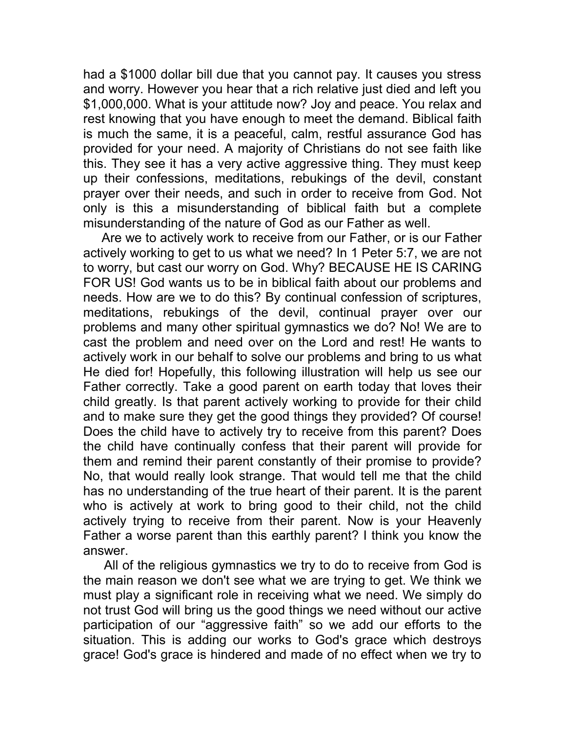had a \$1000 dollar bill due that you cannot pay. It causes you stress and worry. However you hear that a rich relative just died and left you \$1,000,000. What is your attitude now? Joy and peace. You relax and rest knowing that you have enough to meet the demand. Biblical faith is much the same, it is a peaceful, calm, restful assurance God has provided for your need. A majority of Christians do not see faith like this. They see it has a very active aggressive thing. They must keep up their confessions, meditations, rebukings of the devil, constant prayer over their needs, and such in order to receive from God. Not only is this a misunderstanding of biblical faith but a complete misunderstanding of the nature of God as our Father as well.

 Are we to actively work to receive from our Father, or is our Father actively working to get to us what we need? In 1 Peter 5:7, we are not to worry, but cast our worry on God. Why? BECAUSE HE IS CARING FOR US! God wants us to be in biblical faith about our problems and needs. How are we to do this? By continual confession of scriptures, meditations, rebukings of the devil, continual prayer over our problems and many other spiritual gymnastics we do? No! We are to cast the problem and need over on the Lord and rest! He wants to actively work in our behalf to solve our problems and bring to us what He died for! Hopefully, this following illustration will help us see our Father correctly. Take a good parent on earth today that loves their child greatly. Is that parent actively working to provide for their child and to make sure they get the good things they provided? Of course! Does the child have to actively try to receive from this parent? Does the child have continually confess that their parent will provide for them and remind their parent constantly of their promise to provide? No, that would really look strange. That would tell me that the child has no understanding of the true heart of their parent. It is the parent who is actively at work to bring good to their child, not the child actively trying to receive from their parent. Now is your Heavenly Father a worse parent than this earthly parent? I think you know the answer.

 All of the religious gymnastics we try to do to receive from God is the main reason we don't see what we are trying to get. We think we must play a significant role in receiving what we need. We simply do not trust God will bring us the good things we need without our active participation of our "aggressive faith" so we add our efforts to the situation. This is adding our works to God's grace which destroys grace! God's grace is hindered and made of no effect when we try to